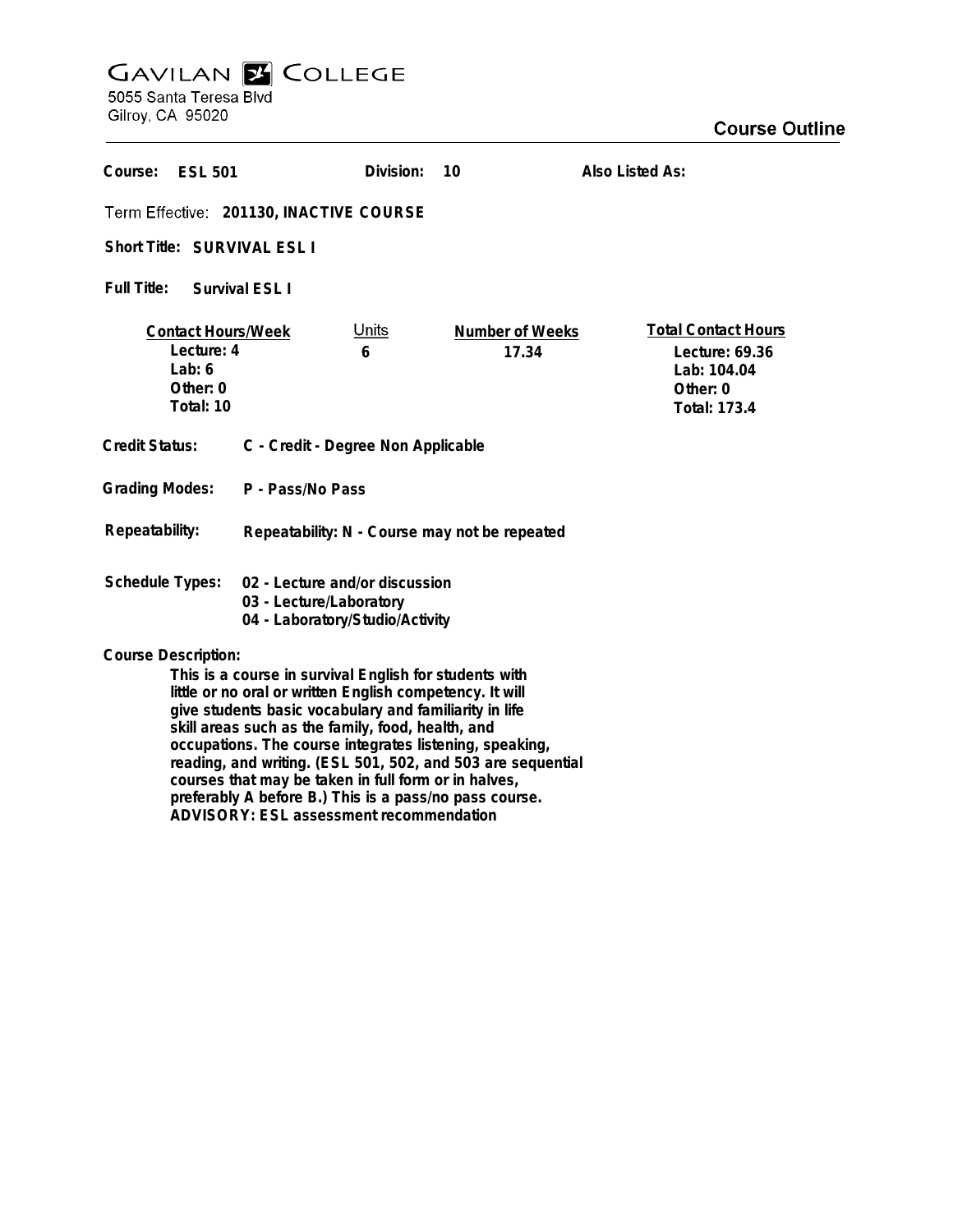## **GAVILAN E COLLEGE**<br>5055 Santa Teresa Blvd

Gilroy, CA 95020

| Course:<br><b>ESL 501</b>                                                                                                                                                                                                                                                                    |                                                                                              | Division:         | 10                       | Also Listed As:                                                                                |
|----------------------------------------------------------------------------------------------------------------------------------------------------------------------------------------------------------------------------------------------------------------------------------------------|----------------------------------------------------------------------------------------------|-------------------|--------------------------|------------------------------------------------------------------------------------------------|
| Term Effective: 201130, INACTIVE COURSE                                                                                                                                                                                                                                                      |                                                                                              |                   |                          |                                                                                                |
| Short Title: SURVIVAL ESL I                                                                                                                                                                                                                                                                  |                                                                                              |                   |                          |                                                                                                |
| Full Title:<br>Survival FSL 1                                                                                                                                                                                                                                                                |                                                                                              |                   |                          |                                                                                                |
| <b>Contact Hours/Week</b><br>Lecture: 4<br>Lab: $6$<br>Other: 0<br>Total: 10                                                                                                                                                                                                                 |                                                                                              | <u>Units</u><br>6 | Number of Weeks<br>17.34 | <b>Total Contact Hours</b><br>Lecture: 69.36<br>Lab: 104.04<br>Other: 0<br><b>Total: 173.4</b> |
| Credit Status:                                                                                                                                                                                                                                                                               | C - Credit - Degree Non Applicable                                                           |                   |                          |                                                                                                |
| <b>Grading Modes:</b>                                                                                                                                                                                                                                                                        | P - Pass/No Pass                                                                             |                   |                          |                                                                                                |
| Repeatability:                                                                                                                                                                                                                                                                               | Repeatability: N - Course may not be repeated                                                |                   |                          |                                                                                                |
| <b>Schedule Types:</b>                                                                                                                                                                                                                                                                       | 02 - Lecture and/or discussion<br>03 - Lecture/Laboratory<br>04 - Laboratory/Studio/Activity |                   |                          |                                                                                                |
| <b>Course Description:</b>                                                                                                                                                                                                                                                                   |                                                                                              |                   |                          |                                                                                                |
| This is a course in survival English for students with<br>little or no oral or written English competency. It will<br>give students basic vocabulary and familiarity in life<br>skill areas such as the family, food, health, and<br>occupations. The course integrates listening, speaking, |                                                                                              |                   |                          |                                                                                                |

**courses that may be taken in full form or in halves, preferably A before B.) This is a pass/no pass course. ADVISORY: ESL assessment recommendation**

**reading, and writing. (ESL 501, 502, and 503 are sequential**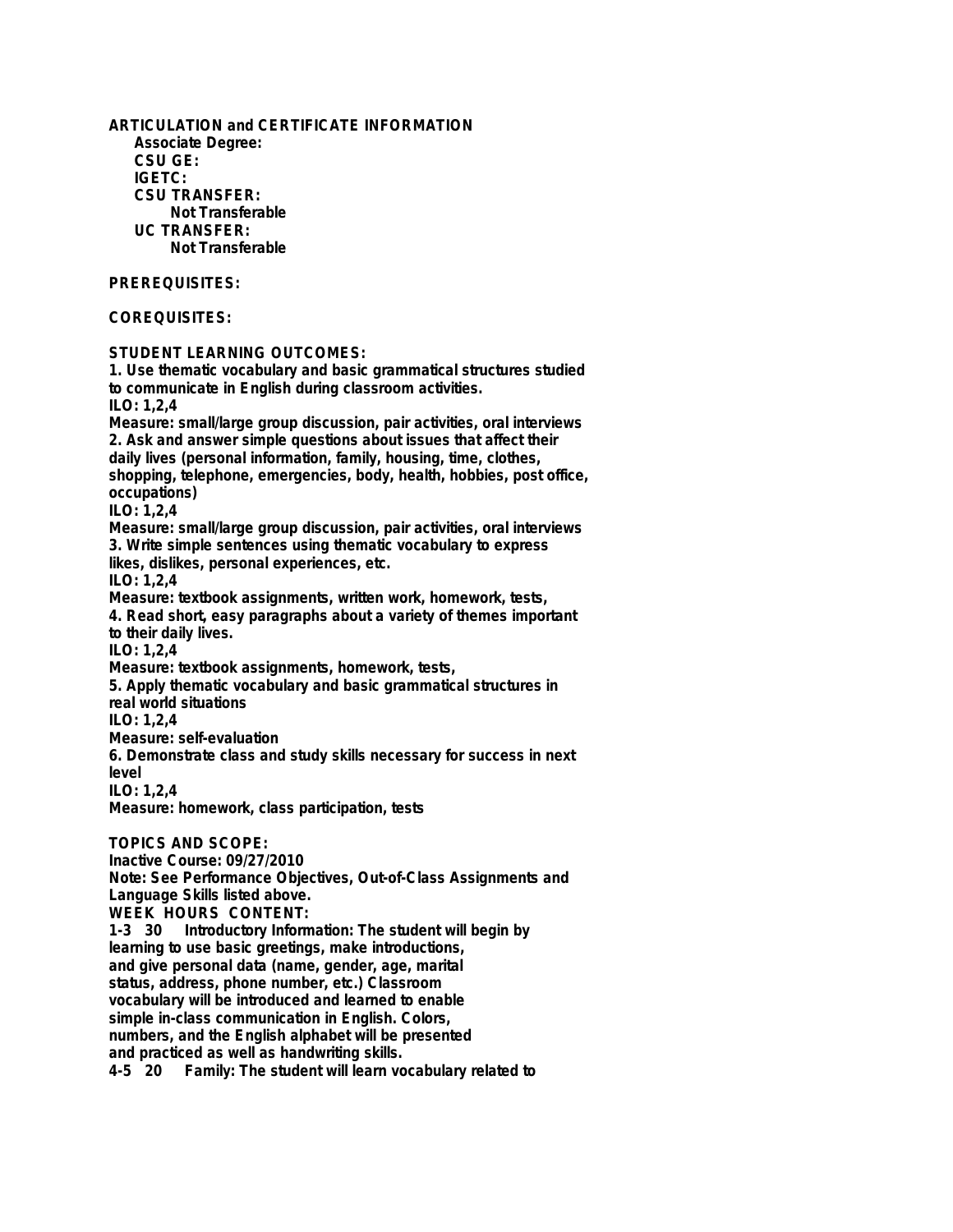**ARTICULATION and CERTIFICATE INFORMATION Associate Degree: CSU GE: IGETC: CSU TRANSFER: Not Transferable UC TRANSFER: Not Transferable PREREQUISITES: COREQUISITES: STUDENT LEARNING OUTCOMES: 1. Use thematic vocabulary and basic grammatical structures studied to communicate in English during classroom activities. ILO: 1,2,4 Measure: small/large group discussion, pair activities, oral interviews 2. Ask and answer simple questions about issues that affect their daily lives (personal information, family, housing, time, clothes, shopping, telephone, emergencies, body, health, hobbies, post office, occupations) ILO: 1,2,4 Measure: small/large group discussion, pair activities, oral interviews 3. Write simple sentences using thematic vocabulary to express likes, dislikes, personal experiences, etc. ILO: 1,2,4 Measure: textbook assignments, written work, homework, tests, 4. Read short, easy paragraphs about a variety of themes important to their daily lives. ILO: 1,2,4 Measure: textbook assignments, homework, tests, 5. Apply thematic vocabulary and basic grammatical structures in real world situations ILO: 1,2,4 Measure: self-evaluation 6. Demonstrate class and study skills necessary for success in next level ILO: 1,2,4 Measure: homework, class participation, tests TOPICS AND SCOPE: Inactive Course: 09/27/2010 Note: See Performance Objectives, Out-of-Class Assignments and Language Skills listed above. WEEK HOURS CONTENT: 1-3 30 Introductory Information: The student will begin by learning to use basic greetings, make introductions, and give personal data (name, gender, age, marital status, address, phone number, etc.) Classroom vocabulary will be introduced and learned to enable simple in-class communication in English. Colors, numbers, and the English alphabet will be presented and practiced as well as handwriting skills.**

**4-5 20 Family: The student will learn vocabulary related to**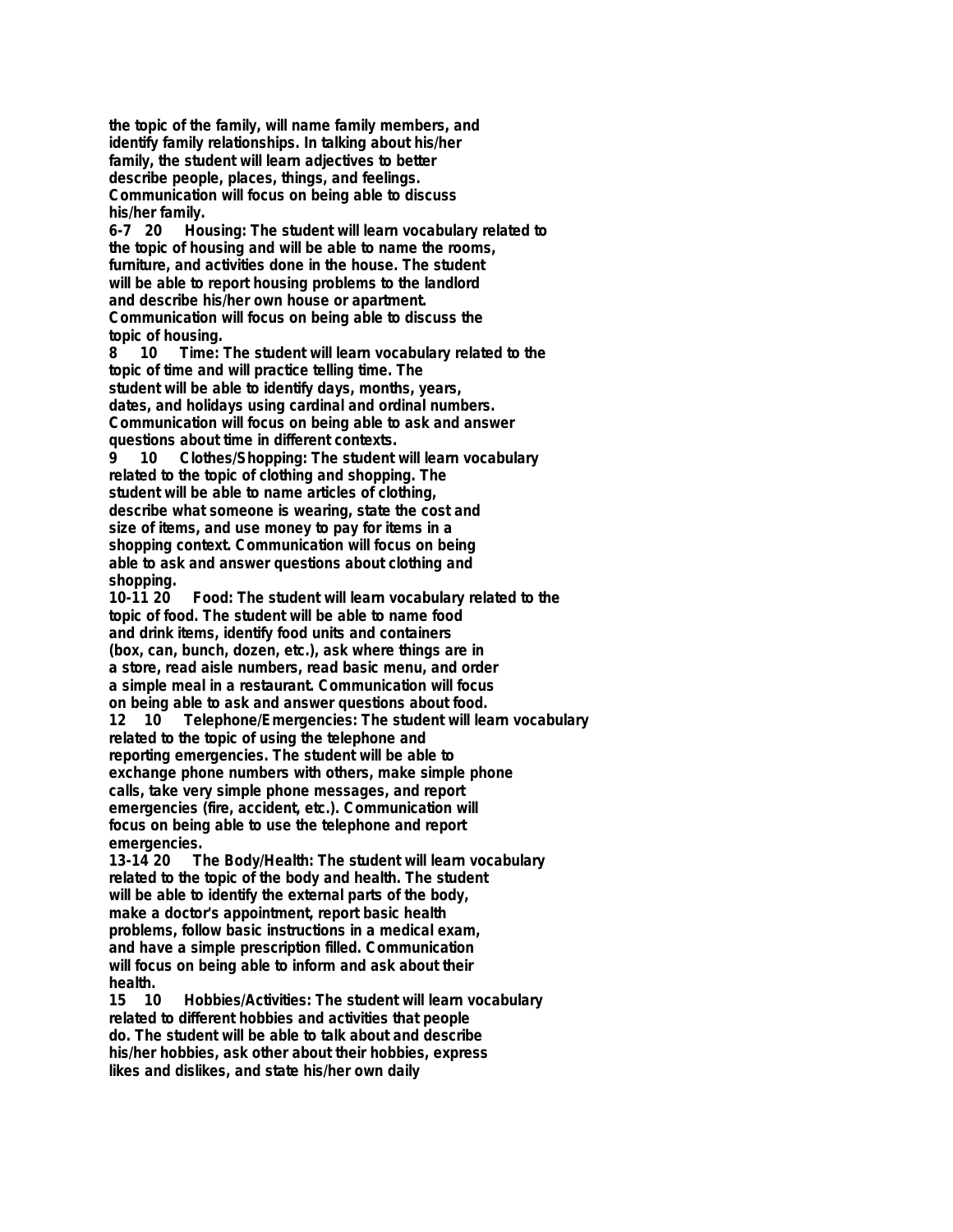**the topic of the family, will name family members, and identify family relationships. In talking about his/her family, the student will learn adjectives to better describe people, places, things, and feelings. Communication will focus on being able to discuss his/her family.**

**6-7 20 Housing: The student will learn vocabulary related to the topic of housing and will be able to name the rooms, furniture, and activities done in the house. The student will be able to report housing problems to the landlord and describe his/her own house or apartment. Communication will focus on being able to discuss the topic of housing.**

**8 10 Time: The student will learn vocabulary related to the topic of time and will practice telling time. The student will be able to identify days, months, years, dates, and holidays using cardinal and ordinal numbers. Communication will focus on being able to ask and answer questions about time in different contexts.**

**9 10 Clothes/Shopping: The student will learn vocabulary related to the topic of clothing and shopping. The student will be able to name articles of clothing, describe what someone is wearing, state the cost and size of items, and use money to pay for items in a shopping context. Communication will focus on being able to ask and answer questions about clothing and shopping.**

**10-11 20 Food: The student will learn vocabulary related to the topic of food. The student will be able to name food and drink items, identify food units and containers (box, can, bunch, dozen, etc.), ask where things are in a store, read aisle numbers, read basic menu, and order a simple meal in a restaurant. Communication will focus on being able to ask and answer questions about food. 12 10 Telephone/Emergencies: The student will learn vocabulary related to the topic of using the telephone and**

**reporting emergencies. The student will be able to exchange phone numbers with others, make simple phone calls, take very simple phone messages, and report emergencies (fire, accident, etc.). Communication will focus on being able to use the telephone and report emergencies.**

**13-14 20 The Body/Health: The student will learn vocabulary related to the topic of the body and health. The student will be able to identify the external parts of the body, make a doctor's appointment, report basic health problems, follow basic instructions in a medical exam, and have a simple prescription filled. Communication will focus on being able to inform and ask about their health.**

**15 10 Hobbies/Activities: The student will learn vocabulary related to different hobbies and activities that people do. The student will be able to talk about and describe his/her hobbies, ask other about their hobbies, express likes and dislikes, and state his/her own daily**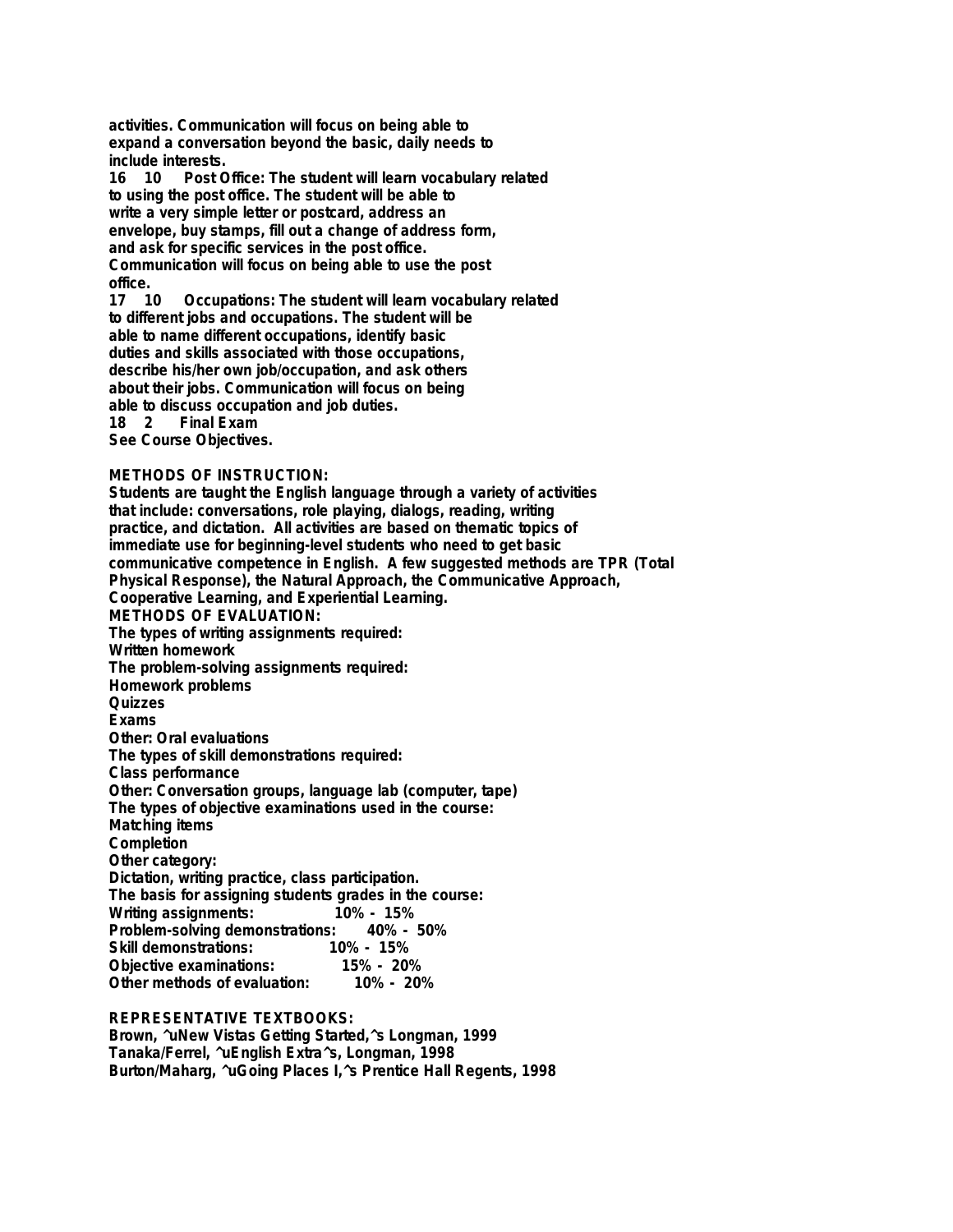**activities. Communication will focus on being able to expand a conversation beyond the basic, daily needs to include interests.**

**16 10 Post Office: The student will learn vocabulary related to using the post office. The student will be able to write a very simple letter or postcard, address an envelope, buy stamps, fill out a change of address form, and ask for specific services in the post office. Communication will focus on being able to use the post office.**

**17 10 Occupations: The student will learn vocabulary related to different jobs and occupations. The student will be able to name different occupations, identify basic duties and skills associated with those occupations, describe his/her own job/occupation, and ask others about their jobs. Communication will focus on being able to discuss occupation and job duties.**

**18 2 Final Exam**

**See Course Objectives.**

## **METHODS OF INSTRUCTION:**

**Students are taught the English language through a variety of activities that include: conversations, role playing, dialogs, reading, writing practice, and dictation. All activities are based on thematic topics of immediate use for beginning-level students who need to get basic communicative competence in English. A few suggested methods are TPR (Total Physical Response), the Natural Approach, the Communicative Approach, Cooperative Learning, and Experiential Learning. METHODS OF EVALUATION: The types of writing assignments required: Written homework The problem-solving assignments required: Homework problems Quizzes Exams Other: Oral evaluations The types of skill demonstrations required: Class performance Other: Conversation groups, language lab (computer, tape) The types of objective examinations used in the course: Matching items Completion Other category: Dictation, writing practice, class participation. The basis for assigning students grades in the course: Writing assignments: 10% - 15% Problem-solving demonstrations: Skill demonstrations: 10% - 15% Objective examinations: 15% - 20% Other methods of evaluation:** 

## **REPRESENTATIVE TEXTBOOKS:**

**Brown, ^uNew Vistas Getting Started,^s Longman, 1999 Tanaka/Ferrel, ^uEnglish Extra^s, Longman, 1998 Burton/Maharg, ^uGoing Places I,^s Prentice Hall Regents, 1998**